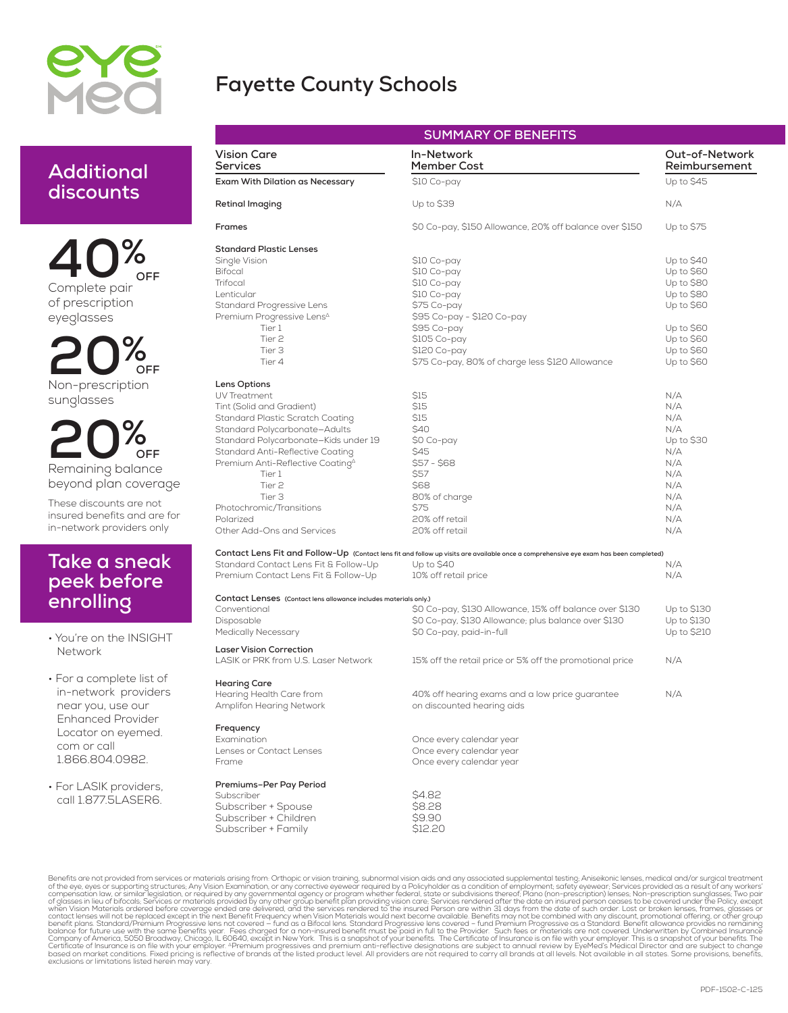

## **Fayette County Schools**

| Additional |
|------------|
| discounts  |

**40%** of prescription eyeglasses **OFF**

**20%** Non-prescription sunglasses **OFF**

**20%** Remaining balance beyond plan coverage **OFF**

These discounts are not insured benefits and are for in-network providers only

### **Take a sneak peek before enrolling**

• You're on the INSIGHT Network

• For a complete list of in-network providers near you, use our Enhanced Provider Locator on eyemed. com or call 1.866.804.0982.

• For LASIK providers, call 1.877.5LASER6.

| <b>SUMMARY OF BENEFITS</b>                                       |                                                                                                                                       |                                 |  |  |  |  |
|------------------------------------------------------------------|---------------------------------------------------------------------------------------------------------------------------------------|---------------------------------|--|--|--|--|
| <b>Vision Care</b><br><b>Services</b>                            | In-Network<br>Member Cost                                                                                                             | Out-of-Network<br>Reimbursement |  |  |  |  |
| Exam With Dilation as Necessary                                  | \$10 Co-pay                                                                                                                           | Up to \$45                      |  |  |  |  |
| <b>Retinal Imaging</b>                                           | Up to \$39                                                                                                                            | N/A                             |  |  |  |  |
| Frames                                                           | \$0 Co-pay, \$150 Allowance, 20% off balance over \$150                                                                               | Up to \$75                      |  |  |  |  |
| <b>Standard Plastic Lenses</b>                                   |                                                                                                                                       |                                 |  |  |  |  |
| Single Vision                                                    | \$10 Co-pay                                                                                                                           | Up to \$40                      |  |  |  |  |
| <b>Bifocal</b>                                                   | \$10 Co-pay                                                                                                                           | Up to \$60                      |  |  |  |  |
| Trifocal                                                         | \$10 Co-pay                                                                                                                           | Up to \$80                      |  |  |  |  |
| Lenticular                                                       | \$10 Co-pay                                                                                                                           | Up to \$80                      |  |  |  |  |
| Standard Progressive Lens                                        | \$75 Co-pay                                                                                                                           | Up to \$60                      |  |  |  |  |
| Premium Progressive Lens <sup>4</sup>                            | \$95 Co-pay - \$120 Co-pay                                                                                                            |                                 |  |  |  |  |
| Tier 1                                                           | \$95 Co-pay                                                                                                                           | Up to \$60                      |  |  |  |  |
| Tier <sub>2</sub>                                                |                                                                                                                                       |                                 |  |  |  |  |
|                                                                  | \$105 Co-pay                                                                                                                          | Up to \$60                      |  |  |  |  |
| Tier 3                                                           | \$120 Co-pay                                                                                                                          | Up to \$60                      |  |  |  |  |
| Tier 4                                                           | \$75 Co-pay, 80% of charge less \$120 Allowance                                                                                       | Up to \$60                      |  |  |  |  |
| Lens Options                                                     |                                                                                                                                       |                                 |  |  |  |  |
| UV Treatment                                                     | \$15                                                                                                                                  | N/A                             |  |  |  |  |
| Tint (Solid and Gradient)                                        | \$15                                                                                                                                  | N/A                             |  |  |  |  |
| Standard Plastic Scratch Coating                                 | \$15                                                                                                                                  | N/A                             |  |  |  |  |
| Standard Polycarbonate-Adults                                    | \$40                                                                                                                                  | N/A                             |  |  |  |  |
| Standard Polycarbonate-Kids under 19                             | \$0 Co-pay                                                                                                                            | Up to \$30                      |  |  |  |  |
| Standard Anti-Reflective Coating                                 | \$45                                                                                                                                  | N/A                             |  |  |  |  |
| Premium Anti-Reflective Coating <sup>4</sup>                     | $$57 - $68$                                                                                                                           | N/A                             |  |  |  |  |
| Tier 1                                                           | \$57                                                                                                                                  | N/A                             |  |  |  |  |
| Tier <sub>2</sub>                                                | \$68                                                                                                                                  |                                 |  |  |  |  |
|                                                                  |                                                                                                                                       | N/A                             |  |  |  |  |
| Tier 3                                                           | 80% of charge                                                                                                                         | N/A                             |  |  |  |  |
| Photochromic/Transitions                                         | \$75                                                                                                                                  | N/A                             |  |  |  |  |
| Polarized                                                        | 20% off retail                                                                                                                        | N/A                             |  |  |  |  |
| Other Add-Ons and Services                                       | 20% off retail                                                                                                                        | N/A                             |  |  |  |  |
|                                                                  | Contact Lens Fit and Follow-Up (Contact lens fit and follow up visits are available once a comprehensive eye exam has been completed) |                                 |  |  |  |  |
| Standard Contact Lens Fit & Follow-Up                            | Up to \$40                                                                                                                            | N/A                             |  |  |  |  |
| Premium Contact Lens Fit & Follow-Up                             | 10% off retail price                                                                                                                  | N/A                             |  |  |  |  |
| Contact Lenses (Contact lens allowance includes materials only.) |                                                                                                                                       |                                 |  |  |  |  |
| Conventional                                                     | \$0 Co-pay, \$130 Allowance, 15% off balance over \$130                                                                               | Up to \$130                     |  |  |  |  |
| Disposable                                                       | \$0 Co-pay, \$130 Allowance; plus balance over \$130                                                                                  | Up to \$130                     |  |  |  |  |
| <b>Medically Necessary</b>                                       | \$0 Co-pay, paid-in-full                                                                                                              | Up to \$210                     |  |  |  |  |
| <b>Laser Vision Correction</b>                                   |                                                                                                                                       |                                 |  |  |  |  |
| LASIK or PRK from U.S. Laser Network                             | 15% off the retail price or 5% off the promotional price                                                                              | N/A                             |  |  |  |  |
| <b>Hearing Care</b>                                              |                                                                                                                                       |                                 |  |  |  |  |
| Hearing Health Care from                                         |                                                                                                                                       | N/A                             |  |  |  |  |
| Amplifon Hearing Network                                         | 40% off hearing exams and a low price guarantee<br>on discounted hearing aids                                                         |                                 |  |  |  |  |
|                                                                  |                                                                                                                                       |                                 |  |  |  |  |
| Frequency                                                        |                                                                                                                                       |                                 |  |  |  |  |
| Examination                                                      | Once every calendar year                                                                                                              |                                 |  |  |  |  |
| Lenses or Contact Lenses                                         | Once every calendar year                                                                                                              |                                 |  |  |  |  |
| Frame                                                            | Once every calendar year                                                                                                              |                                 |  |  |  |  |
| Premiums-Per Pay Period                                          |                                                                                                                                       |                                 |  |  |  |  |
| Subscriber                                                       | \$4.82                                                                                                                                |                                 |  |  |  |  |
| Subscriber + Spouse                                              | S8.28                                                                                                                                 |                                 |  |  |  |  |
| Subscriber + Children                                            | \$9.90                                                                                                                                |                                 |  |  |  |  |
| Subscriber + Family                                              | S12.20                                                                                                                                |                                 |  |  |  |  |

Benefits are not provided from services or materials arising from Orthopic or vision training, subnormal vision aids and any associated supplemental testing. Anisomethics ready and the subject treatment from Secretizal tes

Subscriber + Family